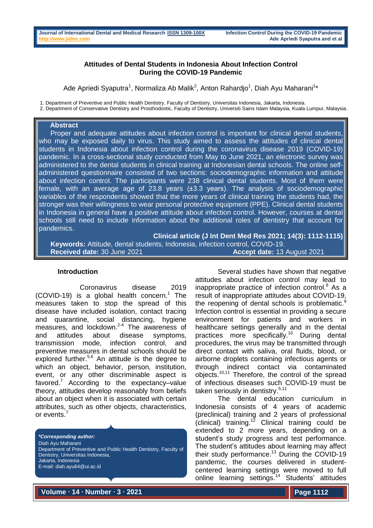# **Attitudes of Dental Students in Indonesia About Infection Control During the COVID-19 Pandemic**

Ade Apriedi Syaputra<sup>1</sup>, Normaliza Ab Malik<sup>2</sup>, Anton Rahardjo<sup>1</sup>, Diah Ayu Maharani<sup>1</sup>\*

1. Department of Preventive and Public Health Dentistry, Faculty of Dentistry, Universitas Indonesia, Jakarta, Indonesia.

2. Department of Conservative Dentistry and Prosthodontic, Faculty of Dentistry, Universiti Sains Islam Malaysia, Kuala Lumpur, Malaysia.

#### **Abstract**

 Proper and adequate attitudes about infection control is important for clinical dental students, who may be exposed daily to virus. This study aimed to assess the attitudes of clinical dental students in Indonesia about infection control during the coronavirus disease 2019 (COVID-19) pandemic. In a cross-sectional study conducted from May to June 2021, an electronic survey was administered to the dental students in clinical training at Indonesian dental schools. The online selfadministered questionnaire consisted of two sections: sociodemographic information and attitude about infection control. The participants were 238 clinical dental students. Most of them were female, with an average age of 23.8 years (±3.3 years). The analysis of sociodemographic variables of the respondents showed that the more years of clinical training the students had, the stronger was their willingness to wear personal protective equipment (PPE). Clinical dental students in Indonesia in general have a positive attitude about infection control. However, courses at dental schools still need to include information about the additional roles of dentistry that account for pandemics.

**Clinical article (J Int Dent Med Res 2021; 14(3): 1112-1115) Keywords:** Attitude, dental students, Indonesia, infection control, COVID-19. **Received date:** 30 June 2021 **Accept date:** 13 August 2021

## **Introduction**

Coronavirus disease 2019 (COVID-19) is a global health concern. <sup>1</sup> The measures taken to stop the spread of this disease have included isolation, contact tracing and quarantine, social distancing, hygiene measures, and  $lockdown.<sup>2-4</sup>$  The awareness of and attitudes about disease symptoms, transmission mode, infection control, and preventive measures in dental schools should be explored further.<sup>5,6</sup> An attitude is the degree to which an object, behavior, person, institution, event, or any other discriminable aspect is favored.<sup>7</sup> According to the expectancy-value theory, attitudes develop reasonably from beliefs about an object when it is associated with certain attributes, such as other objects, characteristics, or events.<sup>7</sup>

*\*Corresponding author:* Diah Ayu Maharani Department of Preventive and Public Health Dentistry, Faculty of Dentistry, Universitas Indonesia, Jakarta, Indonesia E-mail: diah.ayu64@ui.ac.id

Several studies have shown that negative attitudes about infection control may lead to inappropriate practice of infection control. $8$  As a result of inappropriate attitudes about COVID-19, the reopening of dental schools is problematic.<sup>9</sup> Infection control is essential in providing a secure environment for patients and workers in healthcare settings generally and in the dental practices more specifically.<sup>10</sup> During dental procedures, the virus may be transmitted through direct contact with saliva, oral fluids, blood, or airborne droplets containing infectious agents or through indirect contact via contaminated objects.10,11 Therefore, the control of the spread of infectious diseases such COVID-19 must be taken seriously in dentistrv.<sup>5,11</sup>

The dental education curriculum in Indonesia consists of 4 years of academic (preclinical) training and 2 years of professional  $clinical)$  training.<sup>12</sup> Clinical training could be extended to 2 more years, depending on a student's study progress and test performance. The student's attitudes about learning may affect their study performance. <sup>13</sup> During the COVID-19 pandemic, the courses delivered in studentcentered learning settings were moved to full online learning settings.<sup>14</sup> Students' attitudes

**Volume ∙ 14 ∙ Number ∙ 3 ∙ 2021**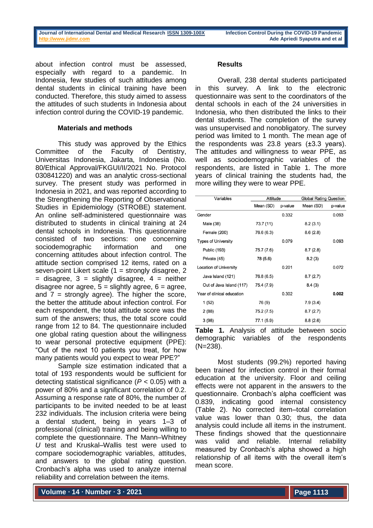about infection control must be assessed, especially with regard to a pandemic. In Indonesia, few studies of such attitudes among dental students in clinical training have been conducted. Therefore, this study aimed to assess the attitudes of such students in Indonesia about infection control during the COVID-19 pandemic.

# **Materials and methods**

This study was approved by the Ethics Committee of the Faculty of Dentistry, Universitas Indonesia, Jakarta, Indonesia (No. 80/Ethical Approval/FKGUI/II/2021 No. Protocol 030841220) and was an analytic cross-sectional survey. The present study was performed in Indonesia in 2021, and was reported according to the Strengthening the Reporting of Observational Studies in Epidemiology (STROBE) statement. An online self-administered questionnaire was distributed to students in clinical training at 24 dental schools in Indonesia. This questionnaire consisted of two sections: one concerning sociodemographic information and one concerning attitudes about infection control. The attitude section comprised 12 items, rated on a seven-point Likert scale (1 = strongly disagree, 2  $=$  disagree, 3 = slightly disagree, 4 = neither disagree nor agree,  $5 =$  slightly agree,  $6 =$  agree, and  $7 =$  strongly agree). The higher the score, the better the attitude about infection control. For each respondent, the total attitude score was the sum of the answers; thus, the total score could range from 12 to 84. The questionnaire included one global rating question about the willingness to wear personal protective equipment (PPE): "Out of the next 10 patients you treat, for how many patients would you expect to wear PPE?"

Sample size estimation indicated that a total of 193 respondents would be sufficient for detecting statistical significance (*P* < 0.05) with a power of 80% and a significant correlation of 0.2. Assuming a response rate of 80%, the number of participants to be invited needed to be at least 232 individuals. The inclusion criteria were being a dental student, being in years 1–3 of professional (clinical) training and being willing to complete the questionnaire. The Mann–Whitney *U* test and Kruskal–Wallis test were used to compare sociodemographic variables, attitudes, and answers to the global rating question. Cronbach's alpha was used to analyze internal reliability and correlation between the items.

### **Results**

Overall, 238 dental students participated in this survey. A link to the electronic questionnaire was sent to the coordinators of the dental schools in each of the 24 universities in Indonesia, who then distributed the links to their dental students. The completion of the survey was unsupervised and nonobligatory. The survey period was limited to 1 month. The mean age of the respondents was 23.8 years (±3.3 years). The attitudes and willingness to wear PPE, as well as sociodemographic variables of the respondents, are listed in Table 1. The more years of clinical training the students had, the more willing they were to wear PPE.

| Variables                     | Attitude   |         | <b>Global Rating Question</b> |         |
|-------------------------------|------------|---------|-------------------------------|---------|
|                               | Mean (SD)  | p-value | Mean (SD)                     | p-value |
| Gender                        |            | 0.332   |                               | 0.093   |
| Male (38)                     | 73.7 (11)  |         | 8.2(3.1)                      |         |
| Female (200)                  | 76.6 (6.3) |         | 8.6(2.8)                      |         |
| <b>Types of University</b>    |            | 0.079   |                               | 0.093   |
| Public (193)                  | 75.7 (7.6) |         | 8.7(2.8)                      |         |
| Private (45)                  | 78 (5.6)   |         | 8.2(3)                        |         |
| <b>Location of University</b> |            | 0.201   |                               | 0.072   |
| Java Island (121)             | 76.8 (6.5) |         | 8.7(2.7)                      |         |
| Out of Java Island (117)      | 75.4 (7.9) |         | 8.4(3)                        |         |
| Year of clinical education    |            | 0.302   |                               | 0.002   |
| 1 (52)                        | 76 (9)     |         | 7.9(3.4)                      |         |
| 2 (88)                        | 75.2 (7.5) |         | 8.7(2.7)                      |         |
| 3(98)                         | 77.1 (5.9) |         | 8.8(2.6)                      |         |

**Table 1.** Analysis of attitude between socio demographic variables of the respondents (N=238).

Most students (99.2%) reported having been trained for infection control in their formal education at the university. Floor and ceiling effects were not apparent in the answers to the questionnaire. Cronbach's alpha coefficient was 0.839, indicating good internal consistency (Table 2). No corrected item–total correlation value was lower than 0.30; thus, the data analysis could include all items in the instrument. These findings showed that the questionnaire was valid and reliable. Internal reliability measured by Cronbach's alpha showed a high relationship of all items with the overall item's mean score.

**Volume ∙ 14 ∙ Number ∙ 3 ∙ 2021**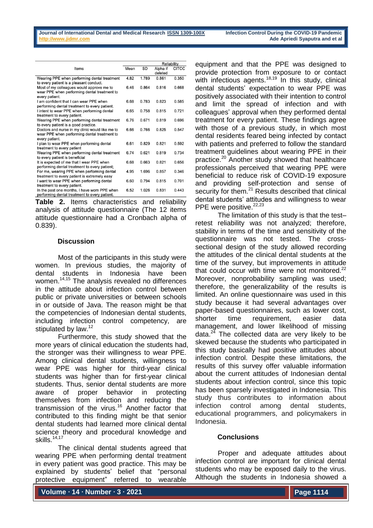|                                                                                                                   |      |       | Reliability         |              |
|-------------------------------------------------------------------------------------------------------------------|------|-------|---------------------|--------------|
| Items                                                                                                             | Mean | SD    | Alpha if<br>deleted | <b>CITCC</b> |
| Wearing PPE when performing dental treatment<br>to every patient is a pleasant conduct.                           | 4.82 | 1.789 | 0.861               | 0.350        |
| Most of my colleagues would approve me to<br>wear PPE when performing dental treatment to<br>every patient.       | 6.46 | 0.864 | 0.816               | 0.668        |
| I am confident that I can wear PPE when<br>performing dental treatment to every patient.                          | 6.68 | 0.783 | 0.823               | 0.585        |
| I intent to wear PPE when performing dental<br>treatment to every patient.                                        | 6.65 | 0.758 | 0.815               | 0.721        |
| Wearing PPE when performing dental treatment<br>to every patient is a good practice.                              | 6.76 | 0.671 | 0.819               | 0.696        |
| Doctors and nurse in my clinic would like me to<br>wear PPE when performing dental treatment to<br>every patient. | 6.66 | 0.766 | 0.825               | 0.547        |
| I plan to wear PPE when performing dental<br>treatment to every patient                                           | 6.61 | 0.829 | 0.821               | 0.592        |
| Wearing PPE when performing dental treatment<br>to every patient is beneficial                                    | 6.74 | 0.621 | 0.819               | 0.734        |
| It is expected of me that I wear PPE when<br>performing dental treatment to every patient;                        | 6.68 | 0.663 | 0.821               | 0.656        |
| For me, wearing PPE when performing dental<br>treatment to every patient is extremely easy                        | 4.95 | 1.696 | 0.857               | 0.346        |
| I want to wear PPE when performing dental<br>treatment to every patient.                                          | 6.60 | 0.794 | 0.815               | 0.701        |
| In the past one months, I have worn PPE when<br>performing dental treatment to every patient.                     | 6.52 | 1.026 | 0.831               | 0.443        |

**Table 2.** Items characteristics and reliability analysis of attitude questionnaire (The 12 items attitude questionnaire had a Cronbach alpha of 0.839).

## **Discussion**

Most of the participants in this study were women. In previous studies, the majority of dental students in Indonesia have been women.<sup>14,15</sup> The analysis revealed no differences in the attitude about infection control between public or private universities or between schools in or outside of Java. The reason might be that the competencies of Indonesian dental students, including infection control competency, are stipulated by law.<sup>12</sup>

Furthermore, this study showed that the more years of clinical education the students had, the stronger was their willingness to wear PPE. Among clinical dental students, willingness to wear PPE was higher for third-year clinical students was higher than for first-year clinical students. Thus, senior dental students are more aware of proper behavior in protecting themselves from infection and reducing the transmission of the virus. <sup>16</sup> Another factor that contributed to this finding might be that senior dental students had learned more clinical dental science theory and procedural knowledge and skills. $14,17$ 

The clinical dental students agreed that wearing PPE when performing dental treatment in every patient was good practice. This may be explained by students' belief that "personal protective equipment" referred to wearable

equipment and that the PPE was designed to provide protection from exposure to or contact with infectious agents. $18,19$  In this study, clinical dental students' expectation to wear PPE was positively associated with their intention to control and limit the spread of infection and with colleagues' approval when they performed dental treatment for every patient. These findings agree with those of a previous study, in which most dental residents feared being infected by contact with patients and preferred to follow the standard treatment guidelines about wearing PPE in their practice. <sup>20</sup> Another study showed that healthcare professionals perceived that wearing PPE were beneficial to reduce risk of COVID-19 exposure and providing self-protection and sense of security for them.<sup>21</sup> Results described that clinical dental students' attitudes and willingness to wear PPE were positive.<sup>22,23</sup>

The limitation of this study is that the test– retest reliability was not analyzed; therefore, stability in terms of the time and sensitivity of the questionnaire was not tested. The crosssectional design of the study allowed recording the attitudes of the clinical dental students at the time of the survey, but improvements in attitude that could occur with time were not monitored.<sup>22</sup> Moreover, nonprobability sampling was used; therefore, the generalizability of the results is limited. An online questionnaire was used in this study because it had several advantages over paper-based questionnaires, such as lower cost, shorter time requirement, easier data management, and lower likelihood of missing data. $24$  The collected data are very likely to be skewed because the students who participated in this study basically had positive attitudes about infection control. Despite these limitations, the results of this survey offer valuable information about the current attitudes of Indonesian dental students about infection control, since this topic has been sparsely investigated in Indonesia. This study thus contributes to information about infection control among dental students, educational programmers, and policymakers in Indonesia.

## **Conclusions**

Proper and adequate attitudes about infection control are important for clinical dental students who may be exposed daily to the virus. Although the students in Indonesia showed a

**Volume ∙ 14 ∙ Number ∙ 3 ∙ 2021**